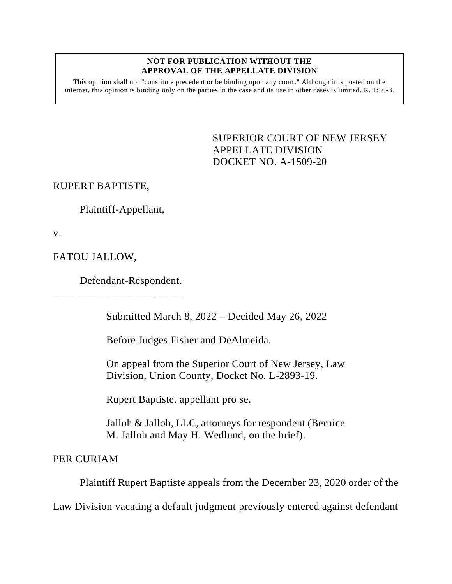## **NOT FOR PUBLICATION WITHOUT THE APPROVAL OF THE APPELLATE DIVISION**

This opinion shall not "constitute precedent or be binding upon any court." Although it is posted on the internet, this opinion is binding only on the parties in the case and its use in other cases is limited. R. 1:36-3.

> <span id="page-0-0"></span>SUPERIOR COURT OF NEW JERSEY APPELLATE DIVISION DOCKET NO. A-1509-20

RUPERT BAPTISTE,

Plaintiff-Appellant,

v.

FATOU JALLOW,

Defendant-Respondent.

\_\_\_\_\_\_\_\_\_\_\_\_\_\_\_\_\_\_\_\_\_\_\_\_

Submitted March 8, 2022 – Decided May 26, 2022

Before Judges Fisher and DeAlmeida.

On appeal from the Superior Court of New Jersey, Law Division, Union County, Docket No. L-2893-19.

Rupert Baptiste, appellant pro se.

Jalloh & Jalloh, LLC, attorneys for respondent (Bernice M. Jalloh and May H. Wedlund, on the brief).

PER CURIAM

Plaintiff Rupert Baptiste appeals from the December 23, 2020 order of the

Law Division vacating a default judgment previously entered against defendant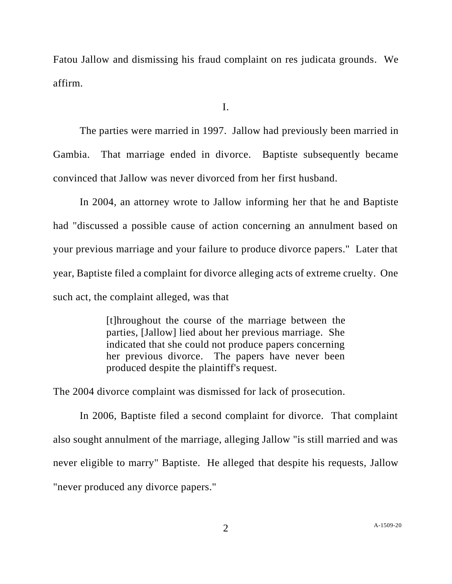Fatou Jallow and dismissing his fraud complaint on res judicata grounds. We affirm.

I.

The parties were married in 1997. Jallow had previously been married in Gambia. That marriage ended in divorce. Baptiste subsequently became convinced that Jallow was never divorced from her first husband.

In 2004, an attorney wrote to Jallow informing her that he and Baptiste had "discussed a possible cause of action concerning an annulment based on your previous marriage and your failure to produce divorce papers." Later that year, Baptiste filed a complaint for divorce alleging acts of extreme cruelty. One such act, the complaint alleged, was that

> [t]hroughout the course of the marriage between the parties, [Jallow] lied about her previous marriage. She indicated that she could not produce papers concerning her previous divorce. The papers have never been produced despite the plaintiff's request.

The 2004 divorce complaint was dismissed for lack of prosecution.

In 2006, Baptiste filed a second complaint for divorce. That complaint also sought annulment of the marriage, alleging Jallow "is still married and was never eligible to marry" Baptiste. He alleged that despite his requests, Jallow "never produced any divorce papers."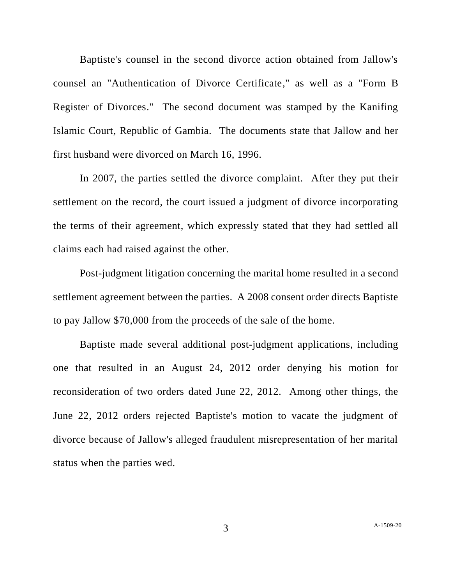Baptiste's counsel in the second divorce action obtained from Jallow's counsel an "Authentication of Divorce Certificate," as well as a "Form B Register of Divorces." The second document was stamped by the Kanifing Islamic Court, Republic of Gambia. The documents state that Jallow and her first husband were divorced on March 16, 1996.

In 2007, the parties settled the divorce complaint. After they put their settlement on the record, the court issued a judgment of divorce incorporating the terms of their agreement, which expressly stated that they had settled all claims each had raised against the other.

Post-judgment litigation concerning the marital home resulted in a second settlement agreement between the parties. A 2008 consent order directs Baptiste to pay Jallow \$70,000 from the proceeds of the sale of the home.

Baptiste made several additional post-judgment applications, including one that resulted in an August 24, 2012 order denying his motion for reconsideration of two orders dated June 22, 2012. Among other things, the June 22, 2012 orders rejected Baptiste's motion to vacate the judgment of divorce because of Jallow's alleged fraudulent misrepresentation of her marital status when the parties wed.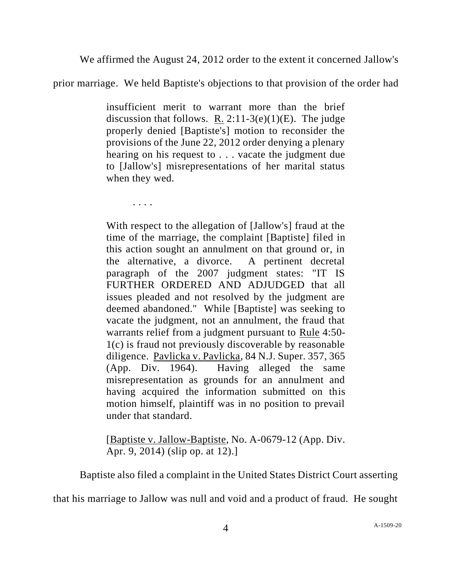We affirmed the August 24, 2012 order to the extent it concerned Jallow's

prior marriage. We held Baptiste's objections to that provision of the order had

insufficient merit to warrant more than the brief discussion that follows. R.  $2:11-3(e)(1)(E)$ . The judge properly denied [Baptiste's] motion to reconsider the provisions of the June 22, 2012 order denying a plenary hearing on his request to . . . vacate the judgment due to [Jallow's] misrepresentations of her marital status when they wed.

. . . .

With respect to the allegation of [Jallow's] fraud at the time of the marriage, the complaint [Baptiste] filed in this action sought an annulment on that ground or, in the alternative, a divorce. A pertinent decretal paragraph of the 2007 judgment states: "IT IS FURTHER ORDERED AND ADJUDGED that all issues pleaded and not resolved by the judgment are deemed abandoned." While [Baptiste] was seeking to vacate the judgment, not an annulment, the fraud that warrants relief from a judgment pursuant to Rule 4:50- 1(c) is fraud not previously discoverable by reasonable diligence. Pavlicka v. Pavlicka, 84 N.J. Super. 357, 365 (App. Div. 1964). Having alleged the same misrepresentation as grounds for an annulment and having acquired the information submitted on this motion himself, plaintiff was in no position to prevail under that standard.

[Baptiste v. Jallow-Baptiste, [No. A-0679-12](https://advance.lexis.com/document/?pdmfid=1000516&crid=53bf4831-1efc-4bdd-8d91-1a98673eb16c&pddocfullpath=%2Fshared%2Fdocument%2Fcases%2Furn%3AcontentItem%3A5C7Y-56K1-F151-1008-00000-00&pddocid=urn%3AcontentItem%3A5C7Y-56K1-F151-1008-00000-00&pdcontentcomponentid=436710&pdshepid=urn%3AcontentItem%3A5C8S-21T1-DXC7-J4M3-00000-00&pdteaserkey=sr0&pditab=allpods&ecomp=spnqk&earg=sr0&prid=4cd66549-1cd4-472f-aae4-b0a1935bceb1) (App. Div. [Apr. 9, 2014\)](https://advance.lexis.com/document/?pdmfid=1000516&crid=53bf4831-1efc-4bdd-8d91-1a98673eb16c&pddocfullpath=%2Fshared%2Fdocument%2Fcases%2Furn%3AcontentItem%3A5C7Y-56K1-F151-1008-00000-00&pddocid=urn%3AcontentItem%3A5C7Y-56K1-F151-1008-00000-00&pdcontentcomponentid=436710&pdshepid=urn%3AcontentItem%3A5C8S-21T1-DXC7-J4M3-00000-00&pdteaserkey=sr0&pditab=allpods&ecomp=spnqk&earg=sr0&prid=4cd66549-1cd4-472f-aae4-b0a1935bceb1) (slip op. at 12).]

Baptiste also filed a complaint in the United States District Court asserting

that his marriage to Jallow was null and void and a product of fraud. He sought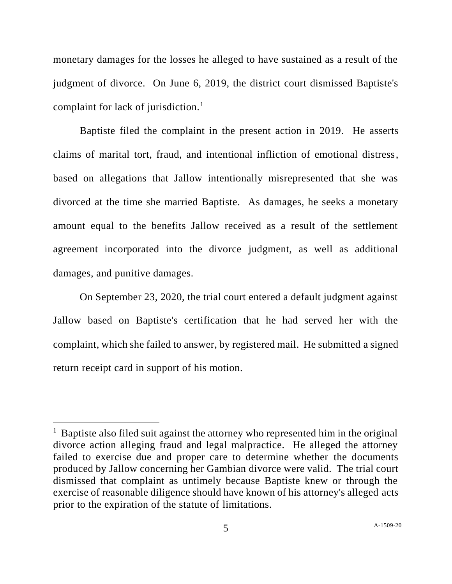monetary damages for the losses he alleged to have sustained as a result of the judgment of divorce. On June 6, 2019, the district court dismissed Baptiste's complaint for lack of jurisdiction.<sup>1</sup>

Baptiste filed the complaint in the present action in 2019. He asserts claims of marital tort, fraud, and intentional infliction of emotional distress, based on allegations that Jallow intentionally misrepresented that she was divorced at the time she married Baptiste. As damages, he seeks a monetary amount equal to the benefits Jallow received as a result of the settlement agreement incorporated into the divorce judgment, as well as additional damages, and punitive damages.

On September 23, 2020, the trial court entered a default judgment against Jallow based on Baptiste's certification that he had served her with the complaint, which she failed to answer, by registered mail. He submitted a signed return receipt card in support of his motion.

<sup>&</sup>lt;sup>1</sup> Baptiste also filed suit against the attorney who represented him in the original divorce action alleging fraud and legal malpractice. He alleged the attorney failed to exercise due and proper care to determine whether the documents produced by Jallow concerning her Gambian divorce were valid. The trial court dismissed that complaint as untimely because Baptiste knew or through the exercise of reasonable diligence should have known of his attorney's alleged acts prior to the expiration of the statute of limitations.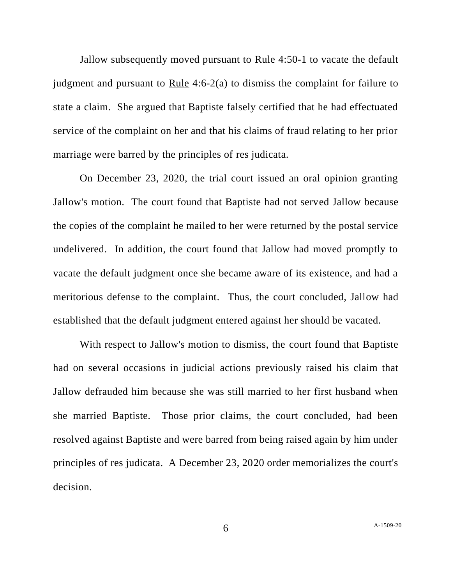Jallow subsequently moved pursuant to Rule 4:50-1 to vacate the default judgment and pursuant to Rule 4:6-2(a) to dismiss the complaint for failure to state a claim. She argued that Baptiste falsely certified that he had effectuated service of the complaint on her and that his claims of fraud relating to her prior marriage were barred by the principles of res judicata.

On December 23, 2020, the trial court issued an oral opinion granting Jallow's motion. The court found that Baptiste had not served Jallow because the copies of the complaint he mailed to her were returned by the postal service undelivered. In addition, the court found that Jallow had moved promptly to vacate the default judgment once she became aware of its existence, and had a meritorious defense to the complaint. Thus, the court concluded, Jallow had established that the default judgment entered against her should be vacated.

With respect to Jallow's motion to dismiss, the court found that Baptiste had on several occasions in judicial actions previously raised his claim that Jallow defrauded him because she was still married to her first husband when she married Baptiste. Those prior claims, the court concluded, had been resolved against Baptiste and were barred from being raised again by him under principles of res judicata. A December 23, 2020 order memorializes the court's decision.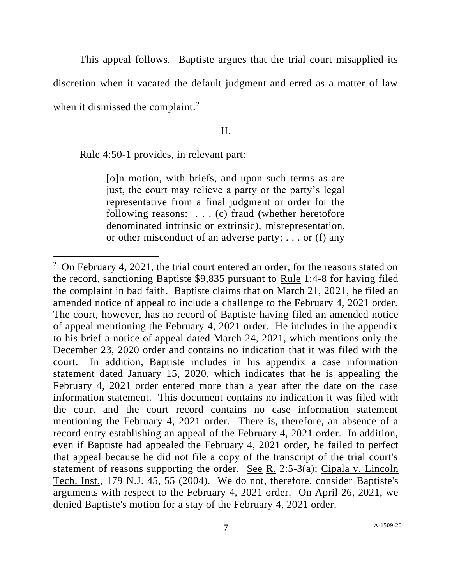This appeal follows. Baptiste argues that the trial court misapplied its

discretion when it vacated the default judgment and erred as a matter of law

when it dismissed the complaint.<sup>2</sup>

## II.

Rule 4:50-1 provides, in relevant part:

[o]n motion, with briefs, and upon such terms as are just, the court may relieve a party or the party's legal representative from a final judgment or order for the following reasons: . . . (c) fraud (whether heretofore denominated intrinsic or extrinsic), misrepresentation, or other misconduct of an adverse party; . . . or (f) any

 $2$  On February 4, 2021, the trial court entered an order, for the reasons stated on the record, sanctioning Baptiste \$9,835 pursuant to Rule 1:4-8 for having filed the complaint in bad faith. Baptiste claims that on March 21, 2021, he filed an amended notice of appeal to include a challenge to the February 4, 2021 order. The court, however, has no record of Baptiste having filed an amended notice of appeal mentioning the February 4, 2021 order. He includes in the appendix to his brief a notice of appeal dated March 24, 2021, which mentions only the December 23, 2020 order and contains no indication that it was filed with the court. In addition, Baptiste includes in his appendix a case information statement dated January 15, 2020, which indicates that he is appealing the February 4, 2021 order entered more than a year after the date on the case information statement. This document contains no indication it was filed with the court and the court record contains no case information statement mentioning the February 4, 2021 order. There is, therefore, an absence of a record entry establishing an appeal of the February 4, 2021 order. In addition, even if Baptiste had appealed the February 4, 2021 order, he failed to perfect that appeal because he did not file a copy of the transcript of the trial court's statement of reasons supporting the order. See R. 2:5-3(a); Cipala v. Lincoln Tech. Inst., 179 N.J. 45, 55 (2004). We do not, therefore, consider Baptiste's arguments with respect to the February 4, 2021 order. On April 26, 2021, we denied Baptiste's motion for a stay of the February 4, 2021 order.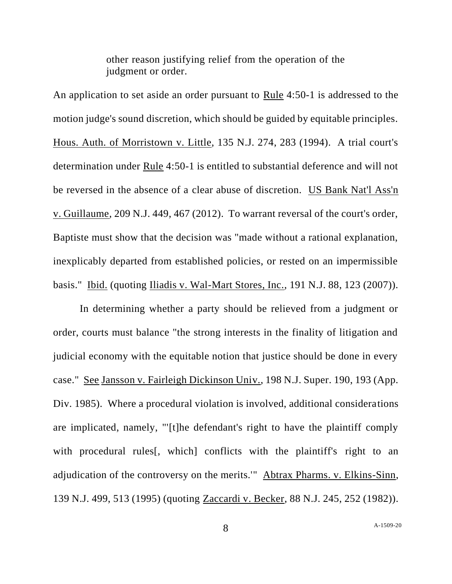other reason justifying relief from the operation of the judgment or order.

An application to set aside an order pursuant to Rule 4:50-1 is addressed to the motion judge's sound discretion, which should be guided by equitable principles. Hous. Auth. of Morristown v. Little, 135 N.J. 274, 283 (1994). A trial court's determination under Rule 4:50-1 is entitled to substantial deference and will not be reversed in the absence of a clear abuse of discretion. US Bank Nat'l Ass'n v. Guillaume, 209 N.J. 449, 467 (2012). To warrant reversal of the court's order, Baptiste must show that the decision was "made without a rational explanation, inexplicably departed from established policies, or rested on an impermissible basis." Ibid. (quoting Iliadis v. Wal-Mart Stores, Inc., 191 N.J. 88, 123 (2007)).

In determining whether a party should be relieved from a judgment or order, courts must balance "the strong interests in the finality of litigation and judicial economy with the equitable notion that justice should be done in every case." See Jansson v. Fairleigh Dickinson Univ., 198 N.J. Super. 190, 193 (App. Div. 1985). Where a procedural violation is involved, additional considerations are implicated, namely, "'[t]he defendant's right to have the plaintiff comply with procedural rules<sup>[, which]</sup> conflicts with the plaintiff's right to an adjudication of the controversy on the merits.'" Abtrax Pharms. v. Elkins-Sinn, 139 N.J. 499, 513 (1995) (quoting Zaccardi v. Becker, 88 N.J. 245, 252 (1982)).

8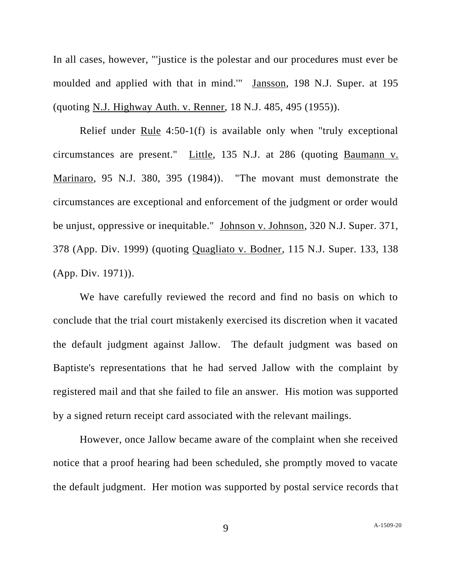In all cases, however, "'justice is the polestar and our procedures must ever be moulded and applied with that in mind.'" Jansson, 198 N.J. Super. at 195 (quoting N.J. Highway Auth. v. Renner, 18 N.J. 485, 495 (1955)).

Relief under Rule 4:50-1(f) is available only when "truly exceptional circumstances are present." Little, 135 N.J. at 286 (quoting Baumann v. Marinaro, 95 N.J. 380, 395 (1984)). "The movant must demonstrate the circumstances are exceptional and enforcement of the judgment or order would be unjust, oppressive or inequitable." Johnson v. Johnson, 320 N.J. Super. 371, 378 (App. Div. 1999) (quoting Quagliato v. Bodner, 115 N.J. Super. 133, 138 (App. Div. 1971)).

We have carefully reviewed the record and find no basis on which to conclude that the trial court mistakenly exercised its discretion when it vacated the default judgment against Jallow. The default judgment was based on Baptiste's representations that he had served Jallow with the complaint by registered mail and that she failed to file an answer. His motion was supported by a signed return receipt card associated with the relevant mailings.

However, once Jallow became aware of the complaint when she received notice that a proof hearing had been scheduled, she promptly moved to vacate the default judgment. Her motion was supported by postal service records that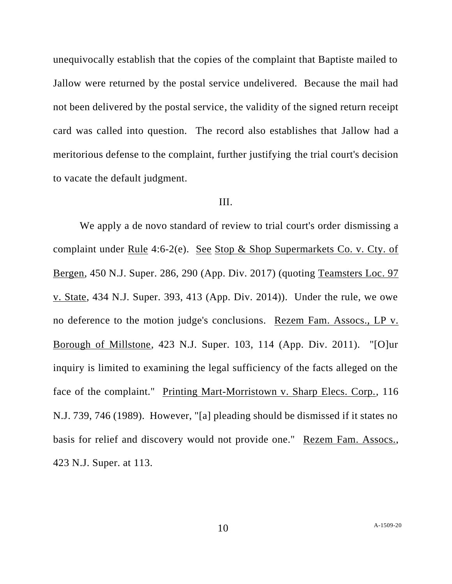unequivocally establish that the copies of the complaint that Baptiste mailed to Jallow were returned by the postal service undelivered. Because the mail had not been delivered by the postal service, the validity of the signed return receipt card was called into question. The record also establishes that Jallow had a meritorious defense to the complaint, further justifying the trial court's decision to vacate the default judgment.

## III.

We apply a de novo standard of review to trial court's order dismissing a complaint under Rule 4:6-2(e). See Stop & Shop Supermarkets Co. v. Cty. of Bergen, 450 N.J. Super. 286, 290 (App. Div. 2017) (quoting Teamsters Loc. 97 v. State, 434 N.J. Super. 393, 413 (App. Div. 2014)). Under the rule, we owe no deference to the motion judge's conclusions. Rezem Fam. Assocs., LP v. Borough of Millstone, 423 N.J. Super. 103, 114 (App. Div. 2011). "[O]ur inquiry is limited to examining the legal sufficiency of the facts alleged on the face of the complaint." Printing Mart-Morristown v. Sharp Elecs. Corp., 116 N.J. 739, 746 (1989). However, "[a] pleading should be dismissed if it states no basis for relief and discovery would not provide one." Rezem Fam. Assocs., 423 N.J. Super. at 113.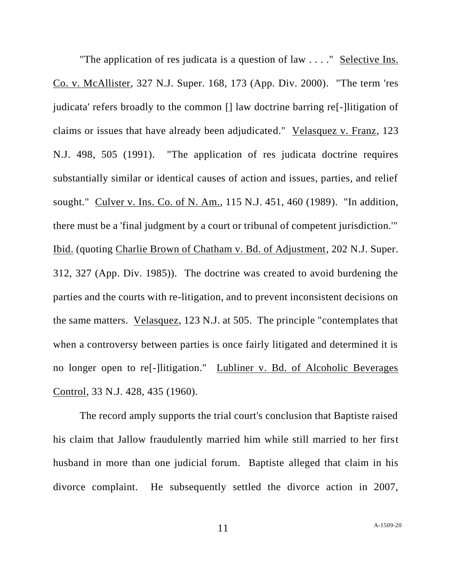"The application of res judicata is a question of law . . . ." Selective Ins. Co. v. McAllister, 327 N.J. Super. 168, 173 (App. Div. 2000). "The term 'res judicata' refers broadly to the common [] law doctrine barring re[-]litigation of claims or issues that have already been adjudicated." Velasquez v. Franz, 123 N.J. 498, 505 (1991). "The application of res judicata doctrine requires substantially similar or identical causes of action and issues, parties, and relief sought." Culver v. Ins. Co. of N. Am., 115 N.J. 451, 460 (1989). "In addition, there must be a 'final judgment by a court or tribunal of competent jurisdiction.'" Ibid. (quoting Charlie Brown of Chatham v. Bd. of Adjustment, 202 N.J. Super. 312, 327 (App. Div. 1985)). The doctrine was created to avoid burdening the parties and the courts with re-litigation, and to prevent inconsistent decisions on the same matters. Velasquez, 123 N.J. at 505. The principle "contemplates that when a controversy between parties is once fairly litigated and determined it is no longer open to re[-]litigation." Lubliner v. Bd. of Alcoholic Beverages Control, 33 N.J. 428, 435 (1960).

The record amply supports the trial court's conclusion that Baptiste raised his claim that Jallow fraudulently married him while still married to her first husband in more than one judicial forum. Baptiste alleged that claim in his divorce complaint. He subsequently settled the divorce action in 2007,